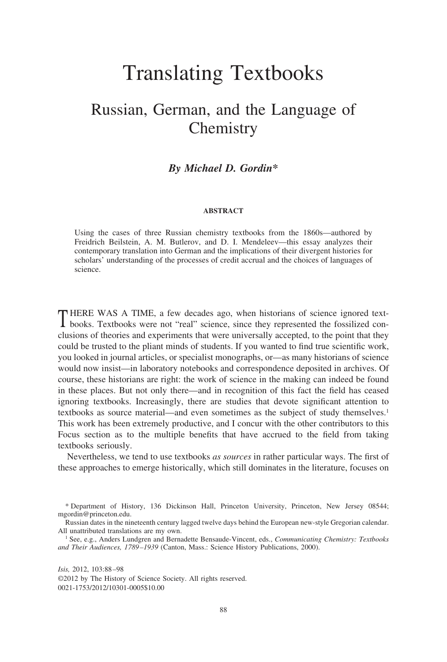## Translating Textbooks

### Russian, German, and the Language of **Chemistry**

### *By Michael D. Gordin\**

### **ABSTRACT**

Using the cases of three Russian chemistry textbooks from the 1860s—authored by Freidrich Beilstein, A. M. Butlerov, and D. I. Mendeleev—this essay analyzes their contemporary translation into German and the implications of their divergent histories for scholars' understanding of the processes of credit accrual and the choices of languages of science.

T HERE WAS A TIME, a few decades ago, when historians of science ignored text-books. Textbooks were not "real" science, since they represented the fossilized conclusions of theories and experiments that were universally accepted, to the point that they could be trusted to the pliant minds of students. If you wanted to find true scientific work, you looked in journal articles, or specialist monographs, or—as many historians of science would now insist—in laboratory notebooks and correspondence deposited in archives. Of course, these historians are right: the work of science in the making can indeed be found in these places. But not only there—and in recognition of this fact the field has ceased ignoring textbooks. Increasingly, there are studies that devote significant attention to textbooks as source material—and even sometimes as the subject of study themselves.<sup>1</sup> This work has been extremely productive, and I concur with the other contributors to this Focus section as to the multiple benefits that have accrued to the field from taking textbooks seriously.

Nevertheless, we tend to use textbooks *as sources* in rather particular ways. The first of these approaches to emerge historically, which still dominates in the literature, focuses on

\* Department of History, 136 Dickinson Hall, Princeton University, Princeton, New Jersey 08544; mgordin@princeton.edu.

Russian dates in the nineteenth century lagged twelve days behind the European new-style Gregorian calendar. All unattributed translations are my own.

<sup>1</sup> See, e.g., Anders Lundgren and Bernadette Bensaude-Vincent, eds., *Communicating Chemistry: Textbooks and Their Audiences, 1789–1939* (Canton, Mass.: Science History Publications, 2000).

*Isis,* 2012, 103:88–98 ©2012 by The History of Science Society. All rights reserved. 0021-1753/2012/10301-0005\$10.00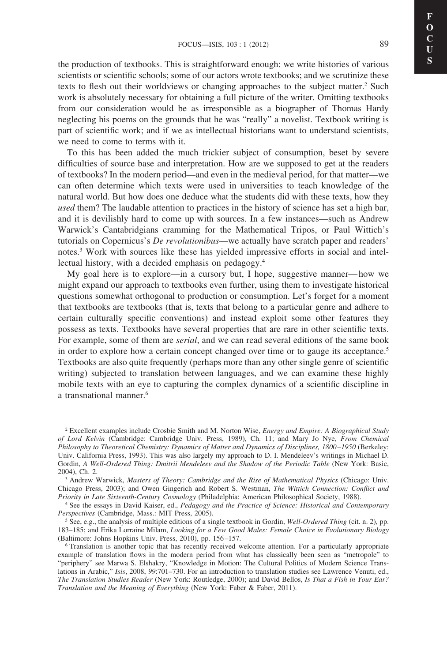the production of textbooks. This is straightforward enough: we write histories of various scientists or scientific schools; some of our actors wrote textbooks; and we scrutinize these texts to flesh out their worldviews or changing approaches to the subject matter.<sup>2</sup> Such work is absolutely necessary for obtaining a full picture of the writer. Omitting textbooks from our consideration would be as irresponsible as a biographer of Thomas Hardy neglecting his poems on the grounds that he was "really" a novelist. Textbook writing is part of scientific work; and if we as intellectual historians want to understand scientists, we need to come to terms with it.

To this has been added the much trickier subject of consumption, beset by severe difficulties of source base and interpretation. How are we supposed to get at the readers of textbooks? In the modern period—and even in the medieval period, for that matter—we can often determine which texts were used in universities to teach knowledge of the natural world. But how does one deduce what the students did with these texts, how they *used* them? The laudable attention to practices in the history of science has set a high bar, and it is devilishly hard to come up with sources. In a few instances—such as Andrew Warwick's Cantabridgians cramming for the Mathematical Tripos, or Paul Wittich's tutorials on Copernicus's *De revolutionibus*—we actually have scratch paper and readers' notes.3 Work with sources like these has yielded impressive efforts in social and intellectual history, with a decided emphasis on pedagogy.4

My goal here is to explore—in a cursory but, I hope, suggestive manner—how we might expand our approach to textbooks even further, using them to investigate historical questions somewhat orthogonal to production or consumption. Let's forget for a moment that textbooks are textbooks (that is, texts that belong to a particular genre and adhere to certain culturally specific conventions) and instead exploit some other features they possess as texts. Textbooks have several properties that are rare in other scientific texts. For example, some of them are *serial*, and we can read several editions of the same book in order to explore how a certain concept changed over time or to gauge its acceptance.<sup>5</sup> Textbooks are also quite frequently (perhaps more than any other single genre of scientific writing) subjected to translation between languages, and we can examine these highly mobile texts with an eye to capturing the complex dynamics of a scientific discipline in a transnational manner.6

<sup>2</sup> Excellent examples include Crosbie Smith and M. Norton Wise, *Energy and Empire: A Biographical Study of Lord Kelvin* (Cambridge: Cambridge Univ. Press, 1989), Ch. 11; and Mary Jo Nye, *From Chemical Philosophy to Theoretical Chemistry: Dynamics of Matter and Dynamics of Disciplines, 1800–1950* (Berkeley: Univ. California Press, 1993). This was also largely my approach to D. I. Mendeleev's writings in Michael D. Gordin, *A Well-Ordered Thing: Dmitrii Mendeleev and the Shadow of the Periodic Table* (New York: Basic, 2004), Ch. 2.

<sup>3</sup> Andrew Warwick, *Masters of Theory: Cambridge and the Rise of Mathematical Physics* (Chicago: Univ. Chicago Press, 2003); and Owen Gingerich and Robert S. Westman, *The Wittich Connection: Conflict and Priority in Late Sixteenth-Century Cosmology* (Philadelphia: American Philosophical Society, 1988).

<sup>4</sup> See the essays in David Kaiser, ed., *Pedagogy and the Practice of Science: Historical and Contemporary Perspectives* (Cambridge, Mass.: MIT Press, 2005).

<sup>5</sup> See, e.g., the analysis of multiple editions of a single textbook in Gordin, *Well-Ordered Thing* (cit. n. 2), pp. 183–185; and Erika Lorraine Milam, *Looking for a Few Good Males: Female Choice in Evolutionary Biology* (Baltimore: Johns Hopkins Univ. Press, 2010), pp. 156–157.

<sup>6</sup> Translation is another topic that has recently received welcome attention. For a particularly appropriate example of translation flows in the modern period from what has classically been seen as "metropole" to "periphery" see Marwa S. Elshakry, "Knowledge in Motion: The Cultural Politics of Modern Science Translations in Arabic," *Isis*, 2008, *99*:701–730. For an introduction to translation studies see Lawrence Venuti, ed., *The Translation Studies Reader* (New York: Routledge, 2000); and David Bellos, *Is That a Fish in Your Ear? Translation and the Meaning of Everything* (New York: Faber & Faber, 2011).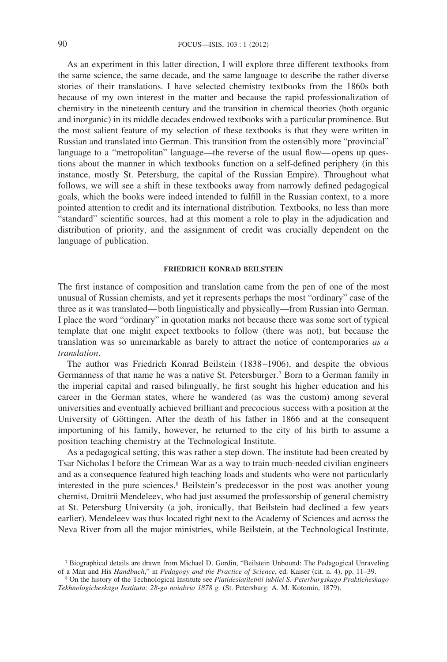As an experiment in this latter direction, I will explore three different textbooks from the same science, the same decade, and the same language to describe the rather diverse stories of their translations. I have selected chemistry textbooks from the 1860s both because of my own interest in the matter and because the rapid professionalization of chemistry in the nineteenth century and the transition in chemical theories (both organic and inorganic) in its middle decades endowed textbooks with a particular prominence. But the most salient feature of my selection of these textbooks is that they were written in Russian and translated into German. This transition from the ostensibly more "provincial" language to a "metropolitan" language—the reverse of the usual flow—opens up questions about the manner in which textbooks function on a self-defined periphery (in this instance, mostly St. Petersburg, the capital of the Russian Empire). Throughout what follows, we will see a shift in these textbooks away from narrowly defined pedagogical goals, which the books were indeed intended to fulfill in the Russian context, to a more pointed attention to credit and its international distribution. Textbooks, no less than more "standard" scientific sources, had at this moment a role to play in the adjudication and distribution of priority, and the assignment of credit was crucially dependent on the language of publication.

### **FRIEDRICH KONRAD BEILSTEIN**

The first instance of composition and translation came from the pen of one of the most unusual of Russian chemists, and yet it represents perhaps the most "ordinary" case of the three as it was translated—both linguistically and physically—from Russian into German. I place the word "ordinary" in quotation marks not because there was some sort of typical template that one might expect textbooks to follow (there was not), but because the translation was so unremarkable as barely to attract the notice of contemporaries *as a translation*.

The author was Friedrich Konrad Beilstein (1838–1906), and despite the obvious Germanness of that name he was a native St. Petersburger.7 Born to a German family in the imperial capital and raised bilingually, he first sought his higher education and his career in the German states, where he wandered (as was the custom) among several universities and eventually achieved brilliant and precocious success with a position at the University of Göttingen. After the death of his father in 1866 and at the consequent importuning of his family, however, he returned to the city of his birth to assume a position teaching chemistry at the Technological Institute.

As a pedagogical setting, this was rather a step down. The institute had been created by Tsar Nicholas I before the Crimean War as a way to train much-needed civilian engineers and as a consequence featured high teaching loads and students who were not particularly interested in the pure sciences.8 Beilstein's predecessor in the post was another young chemist, Dmitrii Mendeleev, who had just assumed the professorship of general chemistry at St. Petersburg University (a job, ironically, that Beilstein had declined a few years earlier). Mendeleev was thus located right next to the Academy of Sciences and across the Neva River from all the major ministries, while Beilstein, at the Technological Institute,

<sup>7</sup> Biographical details are drawn from Michael D. Gordin, "Beilstein Unbound: The Pedagogical Unraveling of a Man and His *Handbuch*," in *Pedagogy and the Practice of Science*, ed. Kaiser (cit. n. 4), pp. 11–39.

<sup>8</sup> On the history of the Technological Institute see *Piatidesiatiletnii iubilei S.-Peterburgskago Prakticheskago Tekhnologicheskago Instituta: 28-go noiabria 1878 g.* (St. Petersburg: A. M. Kotomin, 1879).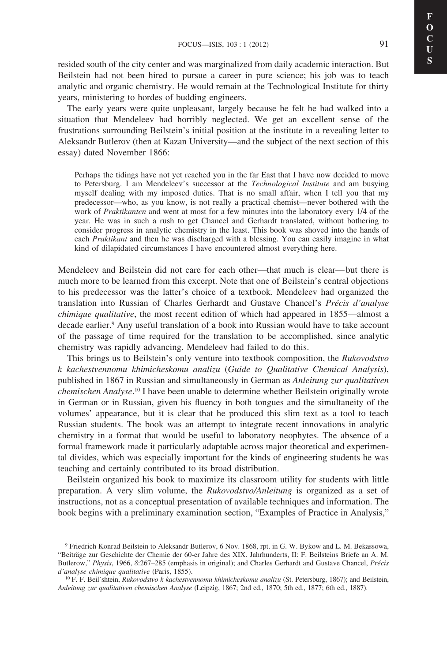resided south of the city center and was marginalized from daily academic interaction. But Beilstein had not been hired to pursue a career in pure science; his job was to teach analytic and organic chemistry. He would remain at the Technological Institute for thirty years, ministering to hordes of budding engineers.

The early years were quite unpleasant, largely because he felt he had walked into a situation that Mendeleev had horribly neglected. We get an excellent sense of the frustrations surrounding Beilstein's initial position at the institute in a revealing letter to Aleksandr Butlerov (then at Kazan University—and the subject of the next section of this essay) dated November 1866:

Perhaps the tidings have not yet reached you in the far East that I have now decided to move to Petersburg. I am Mendeleev's successor at the *Technological Institute* and am busying myself dealing with my imposed duties. That is no small affair, when I tell you that my predecessor—who, as you know, is not really a practical chemist—never bothered with the work of *Praktikanten* and went at most for a few minutes into the laboratory every 1/4 of the year. He was in such a rush to get Chancel and Gerhardt translated, without bothering to consider progress in analytic chemistry in the least. This book was shoved into the hands of each *Praktikant* and then he was discharged with a blessing. You can easily imagine in what kind of dilapidated circumstances I have encountered almost everything here.

Mendeleev and Beilstein did not care for each other—that much is clear—but there is much more to be learned from this excerpt. Note that one of Beilstein's central objections to his predecessor was the latter's choice of a textbook. Mendeleev had organized the translation into Russian of Charles Gerhardt and Gustave Chancel's *Précis d'analyse chimique qualitative*, the most recent edition of which had appeared in 1855—almost a decade earlier.<sup>9</sup> Any useful translation of a book into Russian would have to take account of the passage of time required for the translation to be accomplished, since analytic chemistry was rapidly advancing. Mendeleev had failed to do this.

This brings us to Beilstein's only venture into textbook composition, the *Rukovodstvo k kachestvennomu khimicheskomu analizu* (*Guide to Qualitative Chemical Analysis*), published in 1867 in Russian and simultaneously in German as *Anleitung zur qualitativen chemischen Analyse*. <sup>10</sup> I have been unable to determine whether Beilstein originally wrote in German or in Russian, given his fluency in both tongues and the simultaneity of the volumes' appearance, but it is clear that he produced this slim text as a tool to teach Russian students. The book was an attempt to integrate recent innovations in analytic chemistry in a format that would be useful to laboratory neophytes. The absence of a formal framework made it particularly adaptable across major theoretical and experimental divides, which was especially important for the kinds of engineering students he was teaching and certainly contributed to its broad distribution.

Beilstein organized his book to maximize its classroom utility for students with little preparation. A very slim volume, the *Rukovodstvo/Anleitung* is organized as a set of instructions, not as a conceptual presentation of available techniques and information. The book begins with a preliminary examination section, "Examples of Practice in Analysis,"

<sup>9</sup> Friedrich Konrad Beilstein to Aleksandr Butlerov, 6 Nov. 1868, rpt. in G. W. Bykow and L. M. Bekassowa, "Beitra¨ge zur Geschichte der Chemie der 60-er Jahre des XIX. Jahrhunderts, II: F. Beilsteins Briefe an A. M. Butlerow," *Physis*, 1966, 8:267-285 (emphasis in original); and Charles Gerhardt and Gustave Chancel, *Précis d'analyse chimique qualitative* (Paris, 1855).

<sup>10</sup> F. F. Beil'shtein, *Rukovodstvo k kachestvennomu khimicheskomu analizu* (St. Petersburg, 1867); and Beilstein, *Anleitung zur qualitativen chemischen Analyse* (Leipzig, 1867; 2nd ed., 1870; 5th ed., 1877; 6th ed., 1887).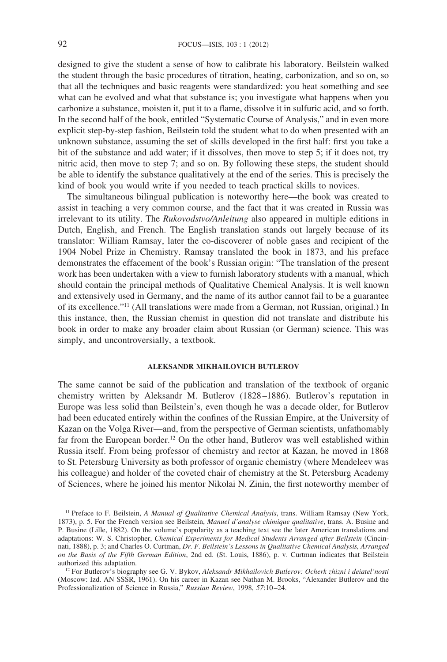designed to give the student a sense of how to calibrate his laboratory. Beilstein walked the student through the basic procedures of titration, heating, carbonization, and so on, so that all the techniques and basic reagents were standardized: you heat something and see what can be evolved and what that substance is; you investigate what happens when you carbonize a substance, moisten it, put it to a flame, dissolve it in sulfuric acid, and so forth. In the second half of the book, entitled "Systematic Course of Analysis," and in even more explicit step-by-step fashion, Beilstein told the student what to do when presented with an unknown substance, assuming the set of skills developed in the first half: first you take a bit of the substance and add water; if it dissolves, then move to step 5; if it does not, try nitric acid, then move to step 7; and so on. By following these steps, the student should be able to identify the substance qualitatively at the end of the series. This is precisely the kind of book you would write if you needed to teach practical skills to novices.

The simultaneous bilingual publication is noteworthy here—the book was created to assist in teaching a very common course, and the fact that it was created in Russia was irrelevant to its utility. The *Rukovodstvo/Anleitung* also appeared in multiple editions in Dutch, English, and French. The English translation stands out largely because of its translator: William Ramsay, later the co-discoverer of noble gases and recipient of the 1904 Nobel Prize in Chemistry. Ramsay translated the book in 1873, and his preface demonstrates the effacement of the book's Russian origin: "The translation of the present work has been undertaken with a view to furnish laboratory students with a manual, which should contain the principal methods of Qualitative Chemical Analysis. It is well known and extensively used in Germany, and the name of its author cannot fail to be a guarantee of its excellence."11 (All translations were made from a German, not Russian, original.) In this instance, then, the Russian chemist in question did not translate and distribute his book in order to make any broader claim about Russian (or German) science. This was simply, and uncontroversially, a textbook.

#### **ALEKSANDR MIKHAILOVICH BUTLEROV**

The same cannot be said of the publication and translation of the textbook of organic chemistry written by Aleksandr M. Butlerov (1828–1886). Butlerov's reputation in Europe was less solid than Beilstein's, even though he was a decade older, for Butlerov had been educated entirely within the confines of the Russian Empire, at the University of Kazan on the Volga River—and, from the perspective of German scientists, unfathomably far from the European border.<sup>12</sup> On the other hand, Butlerov was well established within Russia itself. From being professor of chemistry and rector at Kazan, he moved in 1868 to St. Petersburg University as both professor of organic chemistry (where Mendeleev was his colleague) and holder of the coveted chair of chemistry at the St. Petersburg Academy of Sciences, where he joined his mentor Nikolai N. Zinin, the first noteworthy member of

<sup>&</sup>lt;sup>11</sup> Preface to F. Beilstein, *A Manual of Qualitative Chemical Analysis*, trans. William Ramsay (New York, 1873), p. 5. For the French version see Beilstein, *Manuel d'analyse chimique qualitative*, trans. A. Busine and P. Busine (Lille, 1882). On the volume's popularity as a teaching text see the later American translations and adaptations: W. S. Christopher, *Chemical Experiments for Medical Students Arranged after Beilstein* (Cincinnati, 1888), p. 3; and Charles O. Curtman, *Dr. F. Beilstein's Lessons in Qualitative Chemical Analysis, Arranged on the Basis of the Fifth German Edition*, 2nd ed. (St. Louis, 1886), p. v. Curtman indicates that Beilstein authorized this adaptation.

<sup>12</sup> For Butlerov's biography see G. V. Bykov, *Aleksandr Mikhailovich Butlerov: Ocherk zhizni i deiatel'nosti* (Moscow: Izd. AN SSSR, 1961). On his career in Kazan see Nathan M. Brooks, "Alexander Butlerov and the Professionalization of Science in Russia," *Russian Review*, 1998, *57*:10–24.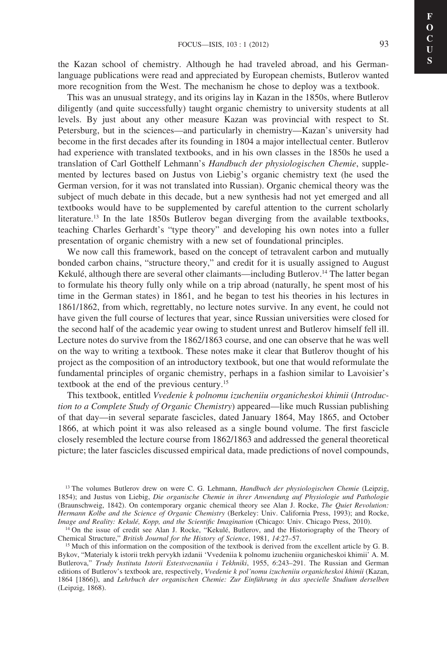the Kazan school of chemistry. Although he had traveled abroad, and his Germanlanguage publications were read and appreciated by European chemists, Butlerov wanted more recognition from the West. The mechanism he chose to deploy was a textbook.

This was an unusual strategy, and its origins lay in Kazan in the 1850s, where Butlerov diligently (and quite successfully) taught organic chemistry to university students at all levels. By just about any other measure Kazan was provincial with respect to St. Petersburg, but in the sciences—and particularly in chemistry—Kazan's university had become in the first decades after its founding in 1804 a major intellectual center. Butlerov had experience with translated textbooks, and in his own classes in the 1850s he used a translation of Carl Gotthelf Lehmann's *Handbuch der physiologischen Chemie*, supplemented by lectures based on Justus von Liebig's organic chemistry text (he used the German version, for it was not translated into Russian). Organic chemical theory was the subject of much debate in this decade, but a new synthesis had not yet emerged and all textbooks would have to be supplemented by careful attention to the current scholarly literature.13 In the late 1850s Butlerov began diverging from the available textbooks, teaching Charles Gerhardt's "type theory" and developing his own notes into a fuller presentation of organic chemistry with a new set of foundational principles.

We now call this framework, based on the concept of tetravalent carbon and mutually bonded carbon chains, "structure theory," and credit for it is usually assigned to August Kekulé, although there are several other claimants—including Butlerov.<sup>14</sup> The latter began to formulate his theory fully only while on a trip abroad (naturally, he spent most of his time in the German states) in 1861, and he began to test his theories in his lectures in 1861/1862, from which, regrettably, no lecture notes survive. In any event, he could not have given the full course of lectures that year, since Russian universities were closed for the second half of the academic year owing to student unrest and Butlerov himself fell ill. Lecture notes do survive from the 1862/1863 course, and one can observe that he was well on the way to writing a textbook. These notes make it clear that Butlerov thought of his project as the composition of an introductory textbook, but one that would reformulate the fundamental principles of organic chemistry, perhaps in a fashion similar to Lavoisier's textbook at the end of the previous century.15

This textbook, entitled *Vvedenie k polnomu izucheniiu organicheskoi khimii* (*Introduction to a Complete Study of Organic Chemistry*) appeared—like much Russian publishing of that day—in several separate fascicles, dated January 1864, May 1865, and October 1866, at which point it was also released as a single bound volume. The first fascicle closely resembled the lecture course from 1862/1863 and addressed the general theoretical picture; the later fascicles discussed empirical data, made predictions of novel compounds,

<sup>13</sup> The volumes Butlerov drew on were C. G. Lehmann, *Handbuch der physiologischen Chemie* (Leipzig, 1854); and Justus von Liebig, *Die organische Chemie in ihrer Anwendung auf Physiologie und Pathologie* (Braunschweig, 1842). On contemporary organic chemical theory see Alan J. Rocke, *The Quiet Revolution: Hermann Kolbe and the Science of Organic Chemistry* (Berkeley: Univ. California Press, 1993); and Rocke, *Image and Reality: Kekule´, Kopp, and the Scientific Imagination* (Chicago: Univ. Chicago Press, 2010).

<sup>&</sup>lt;sup>14</sup> On the issue of credit see Alan J. Rocke, "Kekulé, Butlerov, and the Historiography of the Theory of Chemical Structure," *British Journal for the History of Science*, 1981, *14*:27–57.

<sup>&</sup>lt;sup>15</sup> Much of this information on the composition of the textbook is derived from the excellent article by G. B. Bykov, "Materialy k istorii trekh pervykh izdanii 'Vvedeniia k polnomu izucheniiu organicheskoi khimii' A. M. Butlerova," *Trudy Instituta Istorii Estestvoznaniia i Tekhniki*, 1955, *6*:243–291. The Russian and German editions of Butlerov's textbook are, respectively, *Vvedenie k pol'nomu izucheniiu organicheskoi khimii* (Kazan, 1864 [1866]), and *Lehrbuch der organischen Chemie: Zur Einführung in das specielle Studium derselben* (Leipzig, 1868).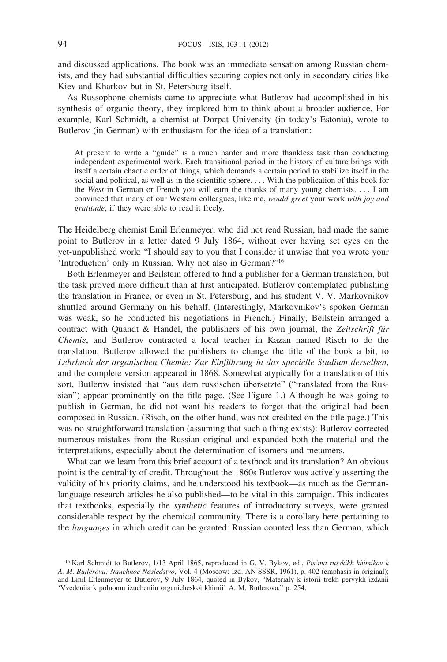and discussed applications. The book was an immediate sensation among Russian chemists, and they had substantial difficulties securing copies not only in secondary cities like Kiev and Kharkov but in St. Petersburg itself.

As Russophone chemists came to appreciate what Butlerov had accomplished in his synthesis of organic theory, they implored him to think about a broader audience. For example, Karl Schmidt, a chemist at Dorpat University (in today's Estonia), wrote to Butlerov (in German) with enthusiasm for the idea of a translation:

At present to write a "guide" is a much harder and more thankless task than conducting independent experimental work. Each transitional period in the history of culture brings with itself a certain chaotic order of things, which demands a certain period to stabilize itself in the social and political, as well as in the scientific sphere. . . . With the publication of this book for the *West* in German or French you will earn the thanks of many young chemists. . . . I am convinced that many of our Western colleagues, like me, *would greet* your work *with joy and gratitude*, if they were able to read it freely.

The Heidelberg chemist Emil Erlenmeyer, who did not read Russian, had made the same point to Butlerov in a letter dated 9 July 1864, without ever having set eyes on the yet-unpublished work: "I should say to you that I consider it unwise that you wrote your 'Introduction' only in Russian. Why not also in German?"16

Both Erlenmeyer and Beilstein offered to find a publisher for a German translation, but the task proved more difficult than at first anticipated. Butlerov contemplated publishing the translation in France, or even in St. Petersburg, and his student V. V. Markovnikov shuttled around Germany on his behalf. (Interestingly, Markovnikov's spoken German was weak, so he conducted his negotiations in French.) Finally, Beilstein arranged a contract with Quandt & Handel, the publishers of his own journal, the Zeitschrift für *Chemie*, and Butlerov contracted a local teacher in Kazan named Risch to do the translation. Butlerov allowed the publishers to change the title of the book a bit, to Lehrbuch der organischen Chemie: Zur Einführung in das specielle Studium derselben, and the complete version appeared in 1868. Somewhat atypically for a translation of this sort, Butlerov insisted that "aus dem russischen übersetzte" ("translated from the Russian") appear prominently on the title page. (See Figure 1.) Although he was going to publish in German, he did not want his readers to forget that the original had been composed in Russian. (Risch, on the other hand, was not credited on the title page.) This was no straightforward translation (assuming that such a thing exists): Butlerov corrected numerous mistakes from the Russian original and expanded both the material and the interpretations, especially about the determination of isomers and metamers.

What can we learn from this brief account of a textbook and its translation? An obvious point is the centrality of credit. Throughout the 1860s Butlerov was actively asserting the validity of his priority claims, and he understood his textbook—as much as the Germanlanguage research articles he also published—to be vital in this campaign. This indicates that textbooks, especially the *synthetic* features of introductory surveys, were granted considerable respect by the chemical community. There is a corollary here pertaining to the *languages* in which credit can be granted: Russian counted less than German, which

<sup>16</sup> Karl Schmidt to Butlerov, 1/13 April 1865, reproduced in G. V. Bykov, ed., *Pis'ma russkikh khimikov k A. M. Butlerovu: Nauchnoe Nasledstvo*, Vol. 4 (Moscow: Izd. AN SSSR, 1961), p. 402 (emphasis in original); and Emil Erlenmeyer to Butlerov, 9 July 1864, quoted in Bykov, "Materialy k istorii trekh pervykh izdanii 'Vvedeniia k polnomu izucheniiu organicheskoi khimii' A. M. Butlerova," p. 254.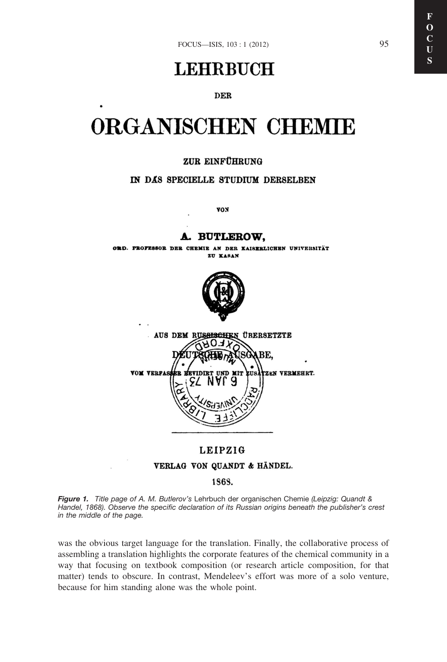## **LEHRBUCH**

### **DER**

# ORGANISCHEN CHEMIE

### ZUR EINFÜHRUNG

IN DAS SPECIELLE STUDIUM DERSELBEN

**VON** 

#### **BUTLEROW,** A.

ORD. PROFESSOR DER CHEMIE AN DER KAISERLICHEN UNIVERSITÄT ZU KASAN





### LEIPZIG

### VERLAG VON QUANDT & HÄNDEL.

1868.

*Figure 1. Title page of A. M. Butlerov's* Lehrbuch der organischen Chemie *(Leipzig: Quandt & Handel, 1868). Observe the specific declaration of its Russian origins beneath the publisher's crest in the middle of the page.*

was the obvious target language for the translation. Finally, the collaborative process of assembling a translation highlights the corporate features of the chemical community in a way that focusing on textbook composition (or research article composition, for that matter) tends to obscure. In contrast, Mendeleev's effort was more of a solo venture, because for him standing alone was the whole point.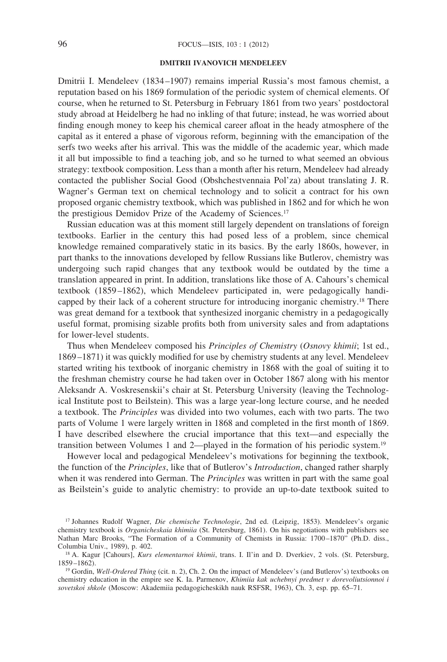### **DMITRII IVANOVICH MENDELEEV**

Dmitrii I. Mendeleev (1834–1907) remains imperial Russia's most famous chemist, a reputation based on his 1869 formulation of the periodic system of chemical elements. Of course, when he returned to St. Petersburg in February 1861 from two years' postdoctoral study abroad at Heidelberg he had no inkling of that future; instead, he was worried about finding enough money to keep his chemical career afloat in the heady atmosphere of the capital as it entered a phase of vigorous reform, beginning with the emancipation of the serfs two weeks after his arrival. This was the middle of the academic year, which made it all but impossible to find a teaching job, and so he turned to what seemed an obvious strategy: textbook composition. Less than a month after his return, Mendeleev had already contacted the publisher Social Good (Obshchestvennaia Pol'za) about translating J. R. Wagner's German text on chemical technology and to solicit a contract for his own proposed organic chemistry textbook, which was published in 1862 and for which he won the prestigious Demidov Prize of the Academy of Sciences.<sup>17</sup>

Russian education was at this moment still largely dependent on translations of foreign textbooks. Earlier in the century this had posed less of a problem, since chemical knowledge remained comparatively static in its basics. By the early 1860s, however, in part thanks to the innovations developed by fellow Russians like Butlerov, chemistry was undergoing such rapid changes that any textbook would be outdated by the time a translation appeared in print. In addition, translations like those of A. Cahours's chemical textbook (1859–1862), which Mendeleev participated in, were pedagogically handicapped by their lack of a coherent structure for introducing inorganic chemistry.18 There was great demand for a textbook that synthesized inorganic chemistry in a pedagogically useful format, promising sizable profits both from university sales and from adaptations for lower-level students.

Thus when Mendeleev composed his *Principles of Chemistry* (*Osnovy khimii*; 1st ed., 1869–1871) it was quickly modified for use by chemistry students at any level. Mendeleev started writing his textbook of inorganic chemistry in 1868 with the goal of suiting it to the freshman chemistry course he had taken over in October 1867 along with his mentor Aleksandr A. Voskresenskii's chair at St. Petersburg University (leaving the Technological Institute post to Beilstein). This was a large year-long lecture course, and he needed a textbook. The *Principles* was divided into two volumes, each with two parts. The two parts of Volume 1 were largely written in 1868 and completed in the first month of 1869. I have described elsewhere the crucial importance that this text—and especially the transition between Volumes 1 and 2—played in the formation of his periodic system.19

However local and pedagogical Mendeleev's motivations for beginning the textbook, the function of the *Principles*, like that of Butlerov's *Introduction*, changed rather sharply when it was rendered into German. The *Principles* was written in part with the same goal as Beilstein's guide to analytic chemistry: to provide an up-to-date textbook suited to

<sup>&</sup>lt;sup>17</sup> Johannes Rudolf Wagner, *Die chemische Technologie*, 2nd ed. (Leipzig, 1853). Mendeleev's organic chemistry textbook is *Organicheskaia khimiia* (St. Petersburg, 1861). On his negotiations with publishers see Nathan Marc Brooks, "The Formation of a Community of Chemists in Russia: 1700–1870" (Ph.D. diss., Columbia Univ., 1989), p. 402.

<sup>18</sup> A. Kagur [Cahours], *Kurs elementarnoi khimii*, trans. I. Il'in and D. Dverkiev, 2 vols. (St. Petersburg, 1859–1862).

<sup>&</sup>lt;sup>19</sup> Gordin, *Well-Ordered Thing* (cit. n. 2), Ch. 2. On the impact of Mendeleev's (and Butlerov's) textbooks on chemistry education in the empire see K. Ia. Parmenov, *Khimiia kak uchebnyi predmet v dorevoliutsionnoi i sovetskoi shkole* (Moscow: Akademiia pedagogicheskikh nauk RSFSR, 1963), Ch. 3, esp. pp. 65–71.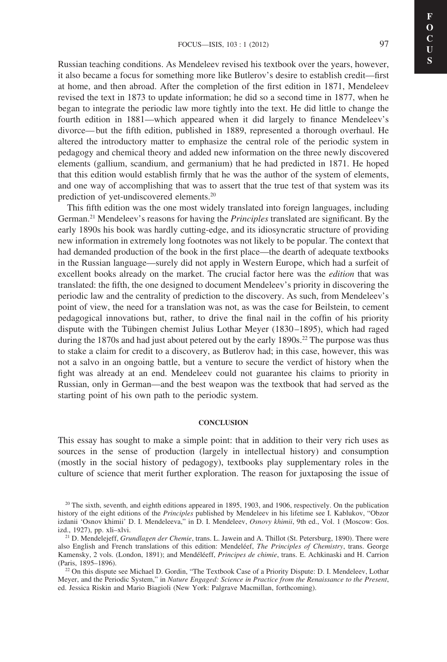Russian teaching conditions. As Mendeleev revised his textbook over the years, however, it also became a focus for something more like Butlerov's desire to establish credit—first at home, and then abroad. After the completion of the first edition in 1871, Mendeleev revised the text in 1873 to update information; he did so a second time in 1877, when he began to integrate the periodic law more tightly into the text. He did little to change the fourth edition in 1881—which appeared when it did largely to finance Mendeleev's divorce—but the fifth edition, published in 1889, represented a thorough overhaul. He altered the introductory matter to emphasize the central role of the periodic system in pedagogy and chemical theory and added new information on the three newly discovered elements (gallium, scandium, and germanium) that he had predicted in 1871. He hoped that this edition would establish firmly that he was the author of the system of elements, and one way of accomplishing that was to assert that the true test of that system was its prediction of yet-undiscovered elements.20

This fifth edition was the one most widely translated into foreign languages, including German.21 Mendeleev's reasons for having the *Principles* translated are significant. By the early 1890s his book was hardly cutting-edge, and its idiosyncratic structure of providing new information in extremely long footnotes was not likely to be popular. The context that had demanded production of the book in the first place—the dearth of adequate textbooks in the Russian language—surely did not apply in Western Europe, which had a surfeit of excellent books already on the market. The crucial factor here was the *edition* that was translated: the fifth, the one designed to document Mendeleev's priority in discovering the periodic law and the centrality of prediction to the discovery. As such, from Mendeleev's point of view, the need for a translation was not, as was the case for Beilstein, to cement pedagogical innovations but, rather, to drive the final nail in the coffin of his priority dispute with the Tübingen chemist Julius Lothar Meyer (1830–1895), which had raged during the 1870s and had just about petered out by the early 1890s.<sup>22</sup> The purpose was thus to stake a claim for credit to a discovery, as Butlerov had; in this case, however, this was not a salvo in an ongoing battle, but a venture to secure the verdict of history when the fight was already at an end. Mendeleev could not guarantee his claims to priority in Russian, only in German—and the best weapon was the textbook that had served as the starting point of his own path to the periodic system.

### **CONCLUSION**

This essay has sought to make a simple point: that in addition to their very rich uses as sources in the sense of production (largely in intellectual history) and consumption (mostly in the social history of pedagogy), textbooks play supplementary roles in the culture of science that merit further exploration. The reason for juxtaposing the issue of

<sup>&</sup>lt;sup>20</sup> The sixth, seventh, and eighth editions appeared in 1895, 1903, and 1906, respectively. On the publication history of the eight editions of the *Principles* published by Mendeleev in his lifetime see I. Kablukov, "Obzor izdanii 'Osnov khimii' D. I. Mendeleeva," in D. I. Mendeleev, *Osnovy khimii*, 9th ed., Vol. 1 (Moscow: Gos. izd., 1927), pp. xli–xlvi.

<sup>21</sup> D. Mendelejeff, *Grundlagen der Chemie*, trans. L. Jawein and A. Thillot (St. Petersburg, 1890). There were also English and French translations of this edition: Mendeléef, *The Principles of Chemistry*, trans. George Kamensky, 2 vols. (London, 1891); and Mendéléeff, *Principes de chimie*, trans. E. Achkinaski and H. Carrion (Paris, 1895–1896).

<sup>&</sup>lt;sup>22</sup> On this dispute see Michael D. Gordin, "The Textbook Case of a Priority Dispute: D. I. Mendeleev, Lothar Meyer, and the Periodic System," in *Nature Engaged: Science in Practice from the Renaissance to the Present*, ed. Jessica Riskin and Mario Biagioli (New York: Palgrave Macmillan, forthcoming).